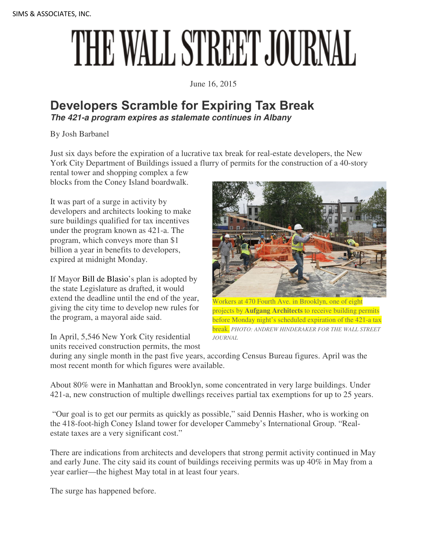## THE WALL STREET JOURNAL

June 16, 2015

## **Developers Scramble for Expiring Tax Break The 421-a program expires as stalemate continues in Albany**

By Josh Barbanel

Just six days before the expiration of a lucrative tax break for real-estate developers, the New York City Department of Buildings issued a flurry of permits for the construction of a 40-story

rental tower and shopping complex a few blocks from the Coney Island boardwalk.

It was part of a surge in activity by developers and architects looking to make sure buildings qualified for tax incentives under the program known as 421-a. The program, which conveys more than \$1 billion a year in benefits to developers, expired at midnight Monday.

If Mayor Bill de Blasio's plan is adopted by the state Legislature as drafted, it would extend the deadline until the end of the year, giving the city time to develop new rules for the program, a mayoral aide said.

In April, 5,546 New York City residential

units received construction permits, the most



orkers at 470 Fourth Ave. in Brooklyn, one of eight projects by **Aufgang Architects** to receive building permits before Monday night's scheduled expiration of the 421-a tax break. *PHOTO: ANDREW HINDERAKER FOR THE WALL STREET JOURNAL*

during any single month in the past five years, according Census Bureau figures. April was the most recent month for which figures were available.

About 80% were in Manhattan and Brooklyn, some concentrated in very large buildings. Under 421-a, new construction of multiple dwellings receives partial tax exemptions for up to 25 years.

 "Our goal is to get our permits as quickly as possible," said Dennis Hasher, who is working on the 418-foot-high Coney Island tower for developer Cammeby's International Group. "Realestate taxes are a very significant cost."

There are indications from architects and developers that strong permit activity continued in May and early June. The city said its count of buildings receiving permits was up 40% in May from a year earlier—the highest May total in at least four years.

The surge has happened before.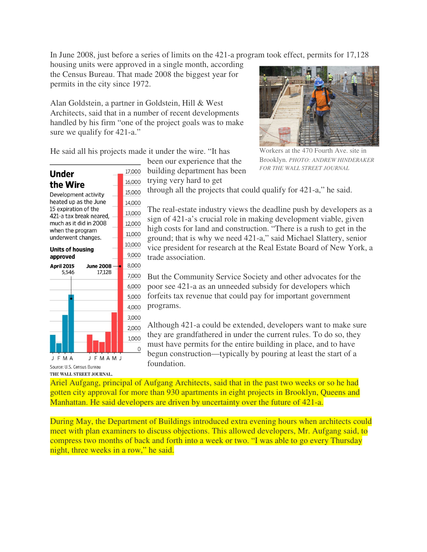In June 2008, just before a series of limits on the 421-a program took effect, permits for 17,128

housing units were approved in a single month, according the Census Bureau. That made 2008 the biggest year for permits in the city since 1972.

Alan Goldstein, a partner in Goldstein, Hill & West Architects, said that in a number of recent developments handled by his firm "one of the project goals was to make sure we qualify for 421-a."

He said all his projects made it under the wire. "It has

17,000

16,000

15,000

14,000

13,000

 $\mathbf 0$ 

been our experience that the building department has been

trying very hard to get



Workers at the 470 Fourth Ave. site in Brooklyn. *PHOTO: ANDREW HINDERAKER FOR THE WALL STREET JOURNAL*

the Wire Development activity heated up as the June 15 expiration of the 421-a tax break neared,

**Under** 



through all the projects that could qualify for 421-a," he said.

The real-estate industry views the deadline push by developers as a sign of 421-a's crucial role in making development viable, given high costs for land and construction. "There is a rush to get in the ground; that is why we need 421-a," said Michael Slattery, senior vice president for research at the Real Estate Board of New York, a trade association.

But the Community Service Society and other advocates for the poor see 421-a as an unneeded subsidy for developers which forfeits tax revenue that could pay for important government programs.

Although 421-a could be extended, developers want to make sure they are grandfathered in under the current rules. To do so, they must have permits for the entire building in place, and to have begun construction—typically by pouring at least the start of a foundation.

Ariel Aufgang, principal of Aufgang Architects, said that in the past two weeks or so he had gotten city approval for more than 930 apartments in eight projects in Brooklyn, Queens and Manhattan. He said developers are driven by uncertainty over the future of 421-a.

During May, the Department of Buildings introduced extra evening hours when architects could meet with plan examiners to discuss objections. This allowed developers, Mr. Aufgang said, to compress two months of back and forth into a week or two. "I was able to go every Thursday night, three weeks in a row," he said.